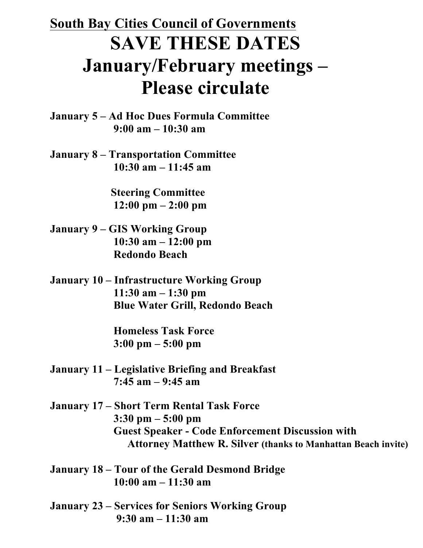## **South Bay Cities Council of Governments SAVE THESE DATES January/February meetings – Please circulate**

**January 5 – Ad Hoc Dues Formula Committee 9:00 am – 10:30 am**

**January 8 – Transportation Committee 10:30 am – 11:45 am**

> **Steering Committee 12:00 pm – 2:00 pm**

- **January 9 – GIS Working Group 10:30 am – 12:00 pm Redondo Beach**
- **January 10 – Infrastructure Working Group 11:30 am – 1:30 pm Blue Water Grill, Redondo Beach**

 **Homeless Task Force 3:00 pm – 5:00 pm**

- **January 11 – Legislative Briefing and Breakfast 7:45 am – 9:45 am**
- **January 17 – Short Term Rental Task Force 3:30 pm – 5:00 pm Guest Speaker - Code Enforcement Discussion with Attorney Matthew R. Silver (thanks to Manhattan Beach invite)**

**January 18 – Tour of the Gerald Desmond Bridge 10:00 am – 11:30 am**

**January 23 – Services for Seniors Working Group 9:30 am – 11:30 am**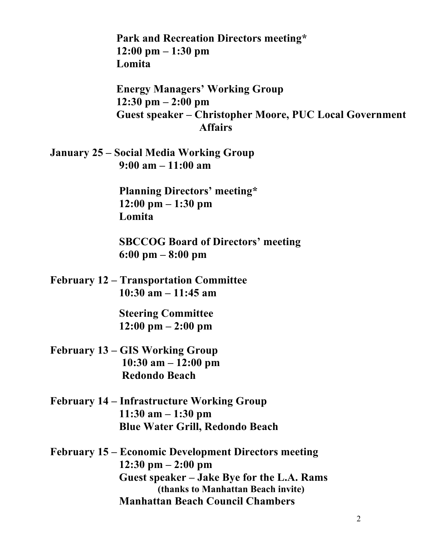**Park and Recreation Directors meeting\* 12:00 pm – 1:30 pm Lomita**

 **Energy Managers' Working Group 12:30 pm – 2:00 pm Guest speaker – Christopher Moore, PUC Local Government Affairs**

**January 25 – Social Media Working Group 9:00 am – 11:00 am**

> **Planning Directors' meeting\* 12:00 pm – 1:30 pm Lomita**

 **SBCCOG Board of Directors' meeting 6:00 pm – 8:00 pm**

**February 12 – Transportation Committee 10:30 am – 11:45 am**

> **Steering Committee 12:00 pm – 2:00 pm**

- **February 13 – GIS Working Group 10:30 am – 12:00 pm Redondo Beach**
- **February 14 – Infrastructure Working Group 11:30 am – 1:30 pm Blue Water Grill, Redondo Beach**

**February 15 – Economic Development Directors meeting 12:30 pm – 2:00 pm Guest speaker – Jake Bye for the L.A. Rams (thanks to Manhattan Beach invite) Manhattan Beach Council Chambers**